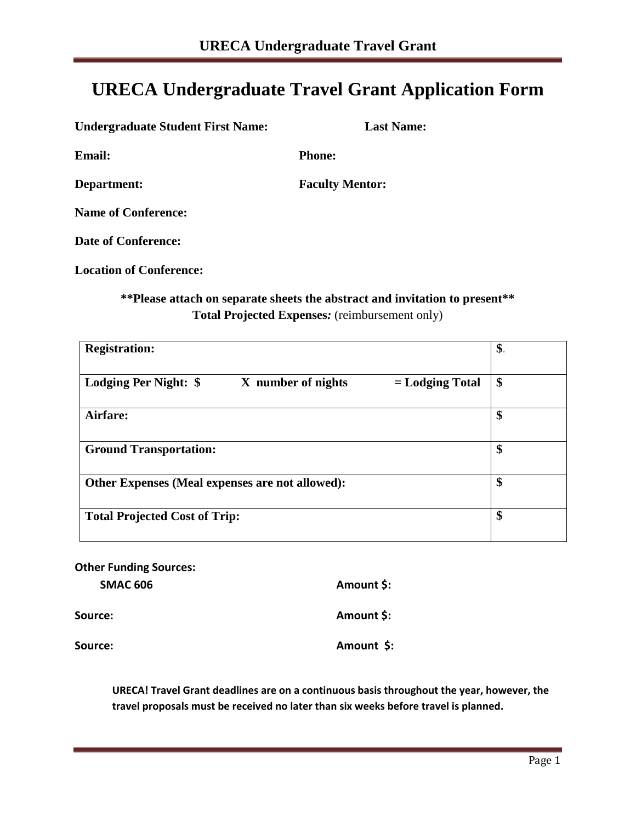## **URECA Undergraduate Travel Grant Application Form**

| <b>Undergraduate Student First Name:</b> | <b>Last Name:</b>      |
|------------------------------------------|------------------------|
| <b>Email:</b>                            | <b>Phone:</b>          |
| Department:                              | <b>Faculty Mentor:</b> |
| <b>Name of Conference:</b>               |                        |
| <b>Date of Conference:</b>               |                        |
| <b>Location of Conference:</b>           |                        |

## **\*\*Please attach on separate sheets the abstract and invitation to present\*\* Total Projected Expenses***:* (reimbursement only)

| <b>Registration:</b>                                             | \$. |
|------------------------------------------------------------------|-----|
| Lodging Per Night: \$<br>X number of nights<br>$=$ Lodging Total | \$  |
| Airfare:                                                         | \$  |
| <b>Ground Transportation:</b>                                    | \$  |
| Other Expenses (Meal expenses are not allowed):                  | \$  |
| <b>Total Projected Cost of Trip:</b>                             | \$  |

| <b>Other Funding Sources:</b> |            |
|-------------------------------|------------|
| <b>SMAC 606</b>               | Amount \$: |
| Source:                       | Amount \$: |
| Source:                       | Amount \$: |

**URECA! Travel Grant deadlines are on a continuous basis throughout the year, however, the travel proposals must be received no later than six weeks before travel is planned.**